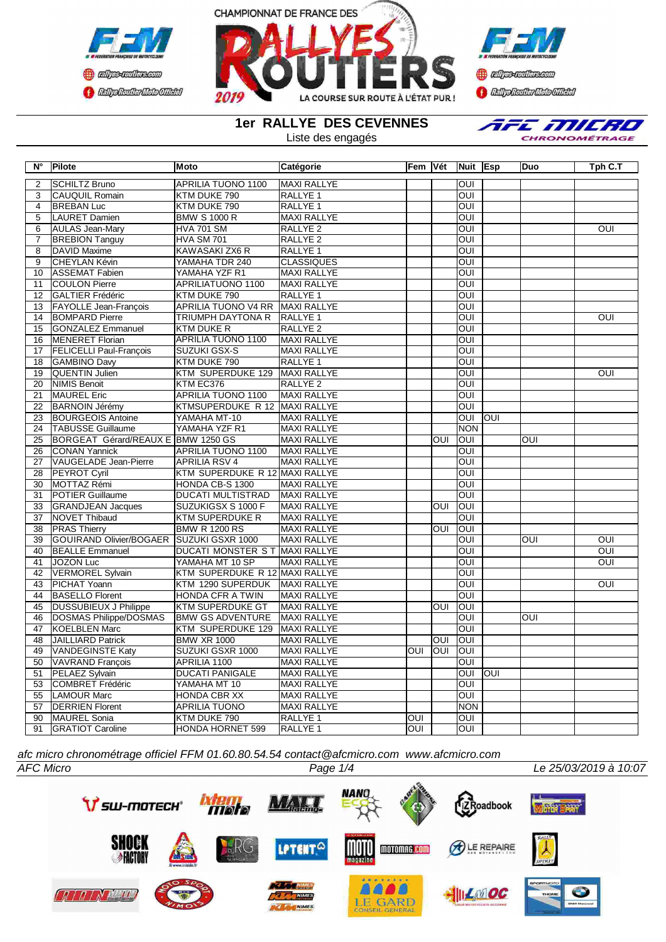



**Confederation f** *Edgebatic Mdo Gilda* 

**1er RALLYE DES CEVENNES**

Liste des engagés



| $\overline{\mathsf{N}^{\circ}}$ | Pilote                             | <b>Moto</b>                    | Catégorie           |                         | Fem Vét        | Nuit Esp                |      | Duo              | Tph C.T        |
|---------------------------------|------------------------------------|--------------------------------|---------------------|-------------------------|----------------|-------------------------|------|------------------|----------------|
| 2                               | <b>SCHILTZ Bruno</b>               | <b>APRILIA TUONO 1100</b>      | <b>MAXI RALLYE</b>  |                         |                | $\overline{\text{OUI}}$ |      |                  |                |
| 3                               | <b>CAUQUIL Romain</b>              | KTM DUKE 790                   | RALLYE <sub>1</sub> |                         |                | $\overline{OUI}$        |      |                  |                |
| 4                               | <b>BREBAN Luc</b>                  | KTM DUKE 790                   | RALLYE 1            |                         |                | OUI                     |      |                  |                |
| $\overline{5}$                  | <b>LAURET Damien</b>               | <b>BMW S 1000 R</b>            | <b>MAXI RALLYE</b>  |                         |                | $\overline{\text{out}}$ |      |                  |                |
| 6                               | <b>AULAS Jean-Mary</b>             | <b>HVA 701 SM</b>              | RALLYE <sub>2</sub> |                         |                | $\overline{\text{C}}$   |      |                  | OUI            |
| 7                               | <b>BREBION Tanguy</b>              | <b>HVA SM 701</b>              | <b>RALLYE 2</b>     |                         |                | ОUІ                     |      |                  |                |
| 8                               | <b>DAVID Maxime</b>                | KAWASAKI ZX6 R                 | RALLYE 1            |                         |                | $\overline{\text{C}}$   |      |                  |                |
| 9                               | <b>CHEYLAN Kévin</b>               | YAMAHA TDR 240                 | <b>CLASSIQUES</b>   |                         |                | $\overline{\text{out}}$ |      |                  |                |
| 10                              | <b>ASSEMAT Fabien</b>              | YAMAHA YZF R1                  | <b>MAXI RALLYE</b>  |                         |                | OUI                     |      |                  |                |
| 11                              | <b>COULON Pierre</b>               | APRILIATUONO 1100              | <b>MAXI RALLYE</b>  |                         |                | $\overline{\text{out}}$ |      |                  |                |
| $\overline{12}$                 | <b>GALTIER Frédéric</b>            | KTM DUKE 790                   | RALLYE <sub>1</sub> |                         |                | OUI                     |      |                  |                |
| $\overline{13}$                 | FAYOLLE Jean-François              | <b>APRILIA TUONO V4 RR</b>     | <b>MAXI RALLYE</b>  |                         |                | $\overline{\text{out}}$ |      |                  |                |
| 14                              | <b>BOMPARD Pierre</b>              | <b>TRIUMPH DAYTONA R</b>       | RALLYE <sub>1</sub> |                         |                | OUI                     |      |                  | OUI            |
| $\overline{15}$                 | <b>GONZALEZ Emmanuel</b>           | <b>KTM DUKE R</b>              | <b>RALLYE 2</b>     |                         |                | $\overline{\text{OUI}}$ |      |                  |                |
| 16                              | <b>MENERET Florian</b>             | <b>APRILIA TUONO 1100</b>      | <b>MAXI RALLYE</b>  |                         |                | ОUІ                     |      |                  |                |
| 17                              | <b>FELICELLI Paul-François</b>     | SUZUKI GSX-S                   | <b>MAXI RALLYE</b>  |                         |                | ОUІ                     |      |                  |                |
| 18                              | <b>GAMBINO Davy</b>                | KTM DUKE 790                   | RALLYE 1            |                         |                | $\overline{\text{OUI}}$ |      |                  |                |
| 19                              | <b>QUENTIN Julien</b>              | KTM SUPERDUKE 129              | MAXI RALLYE         |                         |                | $\overline{\text{OUI}}$ |      |                  | OUI            |
| $\overline{20}$                 | <b>NIMIS Benoit</b>                | KTM EC376                      | <b>RALLYE 2</b>     |                         |                | $\overline{\text{out}}$ |      |                  |                |
| $\overline{21}$                 | <b>MAUREL Eric</b>                 | <b>APRILIA TUONO 1100</b>      | <b>MAXI RALLYE</b>  |                         |                | $\overline{\text{out}}$ |      |                  |                |
| $\overline{22}$                 | <b>BARNOIN Jérémy</b>              | KTMSUPERDUKE R 12 MAXI RALLYE  |                     |                         |                | $\overline{\text{OUI}}$ |      |                  |                |
| $\overline{23}$                 | <b>BOURGEOIS Antoine</b>           | YAMAHA MT-10                   | <b>MAXI RALLYE</b>  |                         |                | $\overline{\text{OUI}}$ | loui |                  |                |
| 24                              | <b>TABUSSE Guillaume</b>           | YAMAHA YZF R1                  | <b>MAXI RALLYE</b>  |                         |                | <b>NON</b>              |      |                  |                |
| 25                              | BORGEAT Gérard/REAUX E BMW 1250 GS |                                | <b>MAXI RALLYE</b>  |                         | $\overline{O}$ | $\overline{O}$          |      | $\overline{O}$   |                |
| 26                              | <b>CONAN Yannick</b>               | APRILIA TUONO 1100             | <b>MAXI RALLYE</b>  |                         |                | $\overline{\text{C}}$   |      |                  |                |
| $\overline{27}$                 | <b>VAUGELADE Jean-Pierre</b>       | <b>APRILIA RSV 4</b>           | <b>MAXI RALLYE</b>  |                         |                | ОUІ                     |      |                  |                |
| 28                              | PEYROT Cyril                       | KTM SUPERDUKE R 12 MAXI RALLYE |                     |                         |                | OUI                     |      |                  |                |
| 30                              | MOTTAZ Rémi                        | HONDA CB-S 1300                | <b>MAXI RALLYE</b>  |                         |                | ОUІ                     |      |                  |                |
| 31                              | <b>POTIER Guillaume</b>            | <b>DUCATI MULTISTRAD</b>       | <b>MAXI RALLYE</b>  |                         |                | OUI                     |      |                  |                |
| 33                              | <b>GRANDJEAN Jacques</b>           | SUZUKIGSX S 1000 F             | <b>MAXI RALLYE</b>  |                         | OUI            | OUI                     |      |                  |                |
| 37                              | <b>NOVET Thibaud</b>               | <b>KTM SUPERDUKE R</b>         | <b>MAXI RALLYE</b>  |                         |                | OUI                     |      |                  |                |
| $\overline{38}$                 | <b>PRAS Thierry</b>                | <b>BMW R 1200 RS</b>           | <b>MAXI RALLYE</b>  |                         | $\overline{O}$ | OUI                     |      |                  |                |
| 39                              | <b>GOUIRAND Olivier/BOGAER</b>     | SUZUKI GSXR 1000               | <b>MAXI RALLYE</b>  |                         |                | OUI                     |      | $\overline{OUI}$ | OUI            |
| 40                              | <b>BEALLE Emmanuel</b>             | DUCATI MONSTER S T MAXI RALLYE |                     |                         |                | $\overline{\text{C}}$   |      |                  | OUI            |
| 41                              | <b>JOZON Luc</b>                   | YAMAHA MT 10 SP                | <b>MAXI RALLYE</b>  |                         |                | OUI                     |      |                  | OUI            |
| 42                              | <b>VERMOREL Sylvain</b>            | KTM SUPERDUKE R 12 MAXI RALLYE |                     |                         |                | OUI                     |      |                  |                |
| 43                              | PICHAT Yoann                       | KTM 1290 SUPERDUK              | MAXI RALLYE         |                         |                | $\overline{\text{C}}$   |      |                  | $\overline{O}$ |
| 44                              | <b>BASELLO Florent</b>             | <b>HONDA CFR A TWIN</b>        | <b>MAXI RALLYE</b>  |                         |                | ОUІ                     |      |                  |                |
| 45                              | <b>DUSSUBIEUX J Philippe</b>       | <b>KTM SUPERDUKE GT</b>        | <b>MAXI RALLYE</b>  |                         | OUI            | OUI                     |      |                  |                |
| 46                              | DOSMAS Philippe/DOSMAS             | <b>BMW GS ADVENTURE</b>        | MAXI RALLYE         |                         |                | $\overline{\text{out}}$ |      | $\overline{OUI}$ |                |
| 47                              | <b>KOELBLEN Marc</b>               | KTM SUPERDUKE 129              | MAXI RALLYE         |                         |                | OUI                     |      |                  |                |
| 48                              | <b>JAILLIARD Patrick</b>           | <b>BMW XR 1000</b>             | <b>MAXI RALLYE</b>  |                         | OUI            | OUI                     |      |                  |                |
| 49                              | <b>VANDEGINSTE Katy</b>            | SUZUKI GSXR 1000               | <b>MAXI RALLYE</b>  | $\overline{\text{out}}$ | l              | <b>OUI</b>              |      |                  |                |
| 50                              | VAVRAND François                   | APRILIA 1100                   | <b>MAXI RALLYE</b>  |                         |                | $\overline{O}$          |      |                  |                |
| 51                              | PELAEZ Sylvain                     | DUCATI PANIGALE                | <b>MAXI RALLYE</b>  |                         |                | <b>OUI</b>              | loui |                  |                |
| 53                              | <b>COMBRET Frédéric</b>            | YAMAHA MT 10                   | <b>MAXI RALLYE</b>  |                         |                | ОUІ                     |      |                  |                |
| 55                              | <b>LAMOUR Marc</b>                 | <b>HONDA CBR XX</b>            | <b>MAXI RALLYE</b>  |                         |                | OUI                     |      |                  |                |
| 57                              | <b>DERRIEN Florent</b>             | <b>APRILIA TUONO</b>           | <b>MAXI RALLYE</b>  |                         |                | <b>NON</b>              |      |                  |                |
| 90                              | <b>MAUREL Sonia</b>                | KTM DUKE 790                   | RALLYE <sub>1</sub> | $\overline{\text{OUI}}$ |                | $\overline{\text{out}}$ |      |                  |                |
| 91                              | <b>GRATIOT Caroline</b>            | <b>HONDA HORNET 599</b>        | RALLYE 1            | $\overline{O}$          |                | OUI                     |      |                  |                |

*afc micro chronométrage officiel FFM 01.60.80.54.54 contact@afcmicro.com www.afcmicro.com*

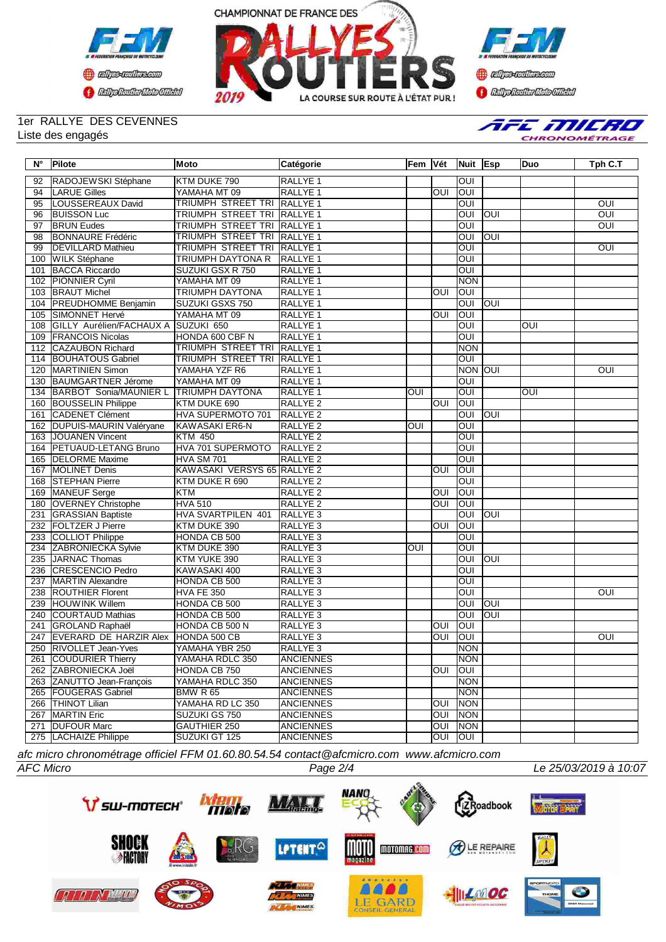





## 1er RALLYE DES CEVENNES Liste des engagés

AFE MILRO CHRONOMÉTRAGE

| $N^{\circ}$ | <b>Pilote</b>                              | Moto                               | Catégorie           | lFem IVét  |                         | Nuit Esp                |            | <b>Duo</b>     | Tph C.T        |
|-------------|--------------------------------------------|------------------------------------|---------------------|------------|-------------------------|-------------------------|------------|----------------|----------------|
| 92          | RADOJEWSKI Stéphane                        | KTM DUKE 790                       | RALLYE <sub>1</sub> |            |                         | loui                    |            |                |                |
| 94          | <b>LARUE Gilles</b>                        | YAMAHA MT 09                       | <b>RALLYE 1</b>     |            | OUI                     | IOUI                    |            |                |                |
| 95          | LOUSSEREAUX David                          | TRIUMPH STREET TRI RALLYE 1        |                     |            |                         | <b>OUI</b>              |            |                | $\overline{O}$ |
| 96          | <b>BUISSON Luc</b>                         | <b>TRIUMPH STREET TRI RALLYE 1</b> |                     |            |                         | OUI                     | loui       |                | <b>OUI</b>     |
| 97          | <b>BRUN Eudes</b>                          | TRIUMPH STREET TRI RALLYE 1        |                     |            |                         | OUI                     |            |                | OUI            |
| 98          | <b>BONNAURE Frédéric</b>                   | TRIUMPH STREET TRI RALLYE 1        |                     |            |                         | OUI                     | <b>OUI</b> |                |                |
| 99          | <b>DEVILLARD Mathieu</b>                   | <b>TRIUMPH STREET TRI RALLYE 1</b> |                     |            |                         | OUI                     |            |                | <b>OUI</b>     |
|             | 100 WILK Stéphane                          | TRIUMPH DAYTONA R                  | <b>RALLYE 1</b>     |            |                         | OUI                     |            |                |                |
| 101         | <b>BACCA Riccardo</b>                      | SUZUKI GSX R 750                   | RALLYE <sub>1</sub> |            |                         | OUI                     |            |                |                |
|             | 102 PIONNIER Cyril                         | YAMAHA MT 09                       | <b>RALLYE 1</b>     |            |                         | <b>NON</b>              |            |                |                |
|             | 103 BRAUT Michel                           | TRIUMPH DAYTONA                    | <b>RALLYE 1</b>     |            | OUI                     | loui                    |            |                |                |
|             | 104 PREUDHOMME Benjamin                    | SUZUKI GSXS 750                    | <b>RALLYE 1</b>     |            |                         | OUI                     | loni       |                |                |
|             | 105 SIMONNET Hervé                         | YAMAHA MT 09                       | <b>RALLYE 1</b>     |            | OUI                     | loui                    |            |                |                |
|             | 108 GILLY Aurélien/FACHAUX A SUZUKI 650    |                                    | RALLYE <sub>1</sub> |            |                         | OUI                     |            | $\overline{O}$ |                |
|             | 109 FRANCOIS Nicolas                       | HONDA 600 CBF N                    | <b>RALLYE 1</b>     |            |                         | OUI                     |            |                |                |
|             | 112 CAZAUBON Richard                       | <b>TRIUMPH STREET TRI RALLYE 1</b> |                     |            |                         | <b>NON</b>              |            |                |                |
|             | 114 BOUHATOUS Gabriel                      | TRIUMPH STREET TRI RALLYE 1        |                     |            |                         | $\overline{O}$          |            |                |                |
|             | 120   MARTINIEN Simon                      | YAMAHA YZF R6                      | RALLYE 1            |            |                         | NON OUI                 |            |                | OUI            |
|             | 130 BAUMGARTNER Jérome                     | YAMAHA MT 09                       | <b>RALLYE 1</b>     |            |                         | OUI                     |            |                |                |
|             | 134 BARBOT Sonia/MAUNIER L TRIUMPH DAYTONA |                                    | RALLYE <sub>1</sub> | OUI        |                         | $\overline{\text{OUI}}$ |            | OUI            |                |
|             | 160 BOUSSELIN Philippe                     | KTM DUKE 690                       | RALLYE <sub>2</sub> |            | OUI                     | loui                    |            |                |                |
| 161         | CADENET Clément                            | HVA SUPERMOTO 701                  | <b>RALLYE 2</b>     |            |                         | OUI                     | JDO        |                |                |
|             | 162 DUPUIS-MAURIN Valéryane                | <b>KAWASAKI ER6-N</b>              | <b>RALLYE 2</b>     | <b>OUI</b> |                         | OUI                     |            |                |                |
|             | 163 JOUANEN Vincent                        | <b>KTM 450</b>                     | <b>RALLYE 2</b>     |            |                         | OUI                     |            |                |                |
|             | 164 PETUAUD-LETANG Bruno                   | HVA 701 SUPERMOTO                  | RALLYE <sub>2</sub> |            |                         | OUI                     |            |                |                |
|             | 165  DELORME Maxime                        | <b>HVA SM 701</b>                  | RALLYE <sub>2</sub> |            |                         | loui                    |            |                |                |
|             | 167 MOLINET Denis                          | KAWASAKI VERSYS 65 RALLYE 2        |                     |            | $\overline{\text{OUI}}$ | loui                    |            |                |                |
|             | 168 STEPHAN Pierre                         | KTM DUKE R 690                     | RALLYE <sub>2</sub> |            |                         | OUI                     |            |                |                |
|             | 169 MANEUF Serge                           | KTM                                | RALLYE <sub>2</sub> |            | OUI                     | IOUI                    |            |                |                |
|             | 180 OVERNEY Christophe                     | <b>HVA 510</b>                     | RALLYE <sub>2</sub> |            | OUI                     | loui                    |            |                |                |
|             | 231 GRASSIAN Baptiste                      | HVA SVARTPILEN 401                 | RALLYE 3            |            |                         | <b>OUI</b>              | loui       |                |                |
|             | 232 FOLTZER J Pierre                       | KTM DUKE 390                       | RALLYE <sub>3</sub> |            | OUI                     | IOUI                    |            |                |                |
|             | 233 COLLIOT Philippe                       | HONDA CB 500                       | RALLYE <sub>3</sub> |            |                         | OUI                     |            |                |                |
|             | 234 ZABRONIECKA Sylvie                     | KTM DUKE 390                       | RALLYE <sub>3</sub> | OUI        |                         | OUI                     |            |                |                |
|             | 235 JARNAC Thomas                          | KTM YUKE 390                       | RALLYE <sub>3</sub> |            |                         | $\overline{O}$          | loni       |                |                |
|             | 236 CRESCENCIO Pedro                       | KAWASAKI 400                       | RALLYE <sub>3</sub> |            |                         | OUI                     |            |                |                |
| 237         | MARTIN Alexandre                           | HONDA CB 500                       | RALLYE <sub>3</sub> |            |                         | OUI                     |            |                |                |
|             | 238  ROUTHIER Florent                      | <b>HVA FE 350</b>                  | RALLYE <sub>3</sub> |            |                         | OUI                     |            |                | OUI            |
| 239         | <b>HOUWINK Willem</b>                      | HONDA CB 500                       | RALLYE <sub>3</sub> |            |                         | OUI                     | <b>OUI</b> |                |                |
|             | 240 COURTAUD Mathias                       | HONDA CB 500                       | RALLYE <sub>3</sub> |            |                         | OUI                     | JDO        |                |                |
| 241         | <b>GROLAND Raphaël</b>                     | HONDA CB 500 N                     | RALLYE <sub>3</sub> |            | OUI                     | loui                    |            |                |                |
| 247         | <b>EVERARD DE HARZIR Alex</b>              | HONDA 500 CB                       | RALLYE <sub>3</sub> |            | OUI                     | loui                    |            |                | OUI            |
| 250         | <b>RIVOLLET Jean-Yves</b>                  | YAMAHA YBR 250                     | RALLYE <sub>3</sub> |            |                         | <b>NON</b>              |            |                |                |
|             | 261 COUDURIER Thierry                      | YAMAHA RDLC 350                    | <b>ANCIENNES</b>    |            |                         | NON                     |            |                |                |
|             | 262 ZABRONIECKA Joël                       | HONDA CB 750                       | <b>ANCIENNES</b>    |            | OUI                     | <b>IOUI</b>             |            |                |                |
|             | 263 ZANUTTO Jean-François                  | YAMAHA RDLC 350                    | <b>ANCIENNES</b>    |            |                         | <b>NON</b>              |            |                |                |
|             | 265   FOUGERAS Gabriel                     | <b>BMW R 65</b>                    | <b>ANCIENNES</b>    |            |                         | <b>NON</b>              |            |                |                |
|             | 266   THINOT Lilian                        | YAMAHA RD LC 350                   | <b>ANCIENNES</b>    |            | OUI                     | <b>NON</b>              |            |                |                |
|             | 267 MARTIN Eric                            | SUZUKI GS 750                      | <b>ANCIENNES</b>    |            | OUI                     | <b>NON</b>              |            |                |                |
|             | 271 DUFOUR Marc                            | <b>GAUTHIER 250</b>                | <b>ANCIENNES</b>    |            | OUI                     | <b>NON</b>              |            |                |                |
|             | 275  LACHAIZE Philippe                     | SUZUKI GT 125                      | <b>ANCIENNES</b>    |            | OUI                     | <b>OUI</b>              |            |                |                |

*afc micro chronométrage officiel FFM 01.60.80.54.54 contact@afcmicro.com www.afcmicro.com*





*AFC Micro Page 2/4 Le 25/03/2019 à 10:07*

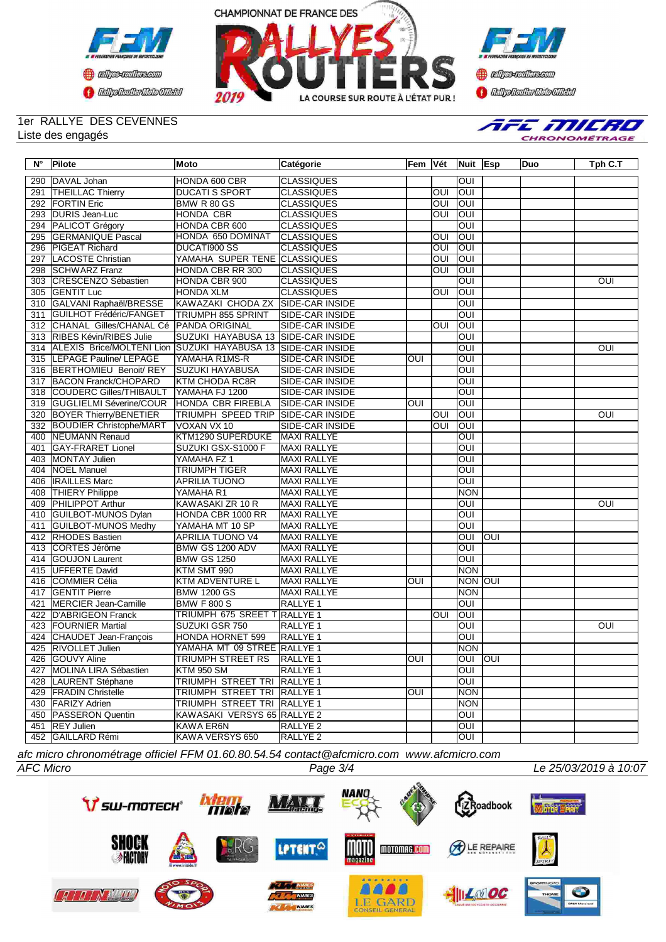





## 1er RALLYE DES CEVENNES Liste des engagés



## **N° Pilote Moto Catégorie Fem Vét Nuit Esp Duo Tph C.T** 290 DAVAL Johan HONDA 600 CBR CLASSIQUES OUI 291 THEILLAC Thierry 292 FORTIN Eric BMW R 80 GS CLASSIQUES OUI OUI 293 DURIS Jean-Luc HONDA CBR CLASSIQUES OUI OUI 294 PALICOT Grégory HONDA CBR 600 CLASSIQUES | OUI OUI<br>295 GERMANIQUE Pascal HONDA 650 DOMINAT CLASSIQUES | OUI OUI 295 GERMANIQUE Pascal 296 PIGEAT Richard DUCATI900 SS CLASSIQUES I OUI OUI 297 LACOSTE Christian YAMAHA SUPER TENE CLASSIQUES OUI OUI 298 SCHWARZ Franz HONDA CBR RR 300 CLASSIQUES CHU OUI OUI 303 CRESCENZO Sébastien HONDA CBR 900 CLASSIQUES **CLASSIQUES OUI OUI OUI OUI OUI** 305 GENTIT Luc HONDA XLM CLASSIQUES OUI OUI 310 GALVANI Raphaël/BRESSE KAWAZAKI CHODA ZX SIDE-CAR INSIDE THE RELATION OUI **GUILHOT Frédéric/FANGET** 312 CHANAL Gilles/CHANAL Cé PANDA ORIGINAL SIDE-CAR INSIDE OUI OUI 313 RIBES Kévin/RIBES Julie 314 ALEXIS Brice/MOLTENI Lion SUZUKI HAYABUSA 13 SIDE-CAR INSIDE<br>315 LEPAGE Pauline/ LEPAGE YAMAHA R1MS-R SIDE-CAR INSIDE OUI OUI OUI OUI OUI 315 LEPAGE Pauline/ LEPAGE YAMAHA R1MS-R SIDE-CAR INSIDE OUI OUI 316 BERTHOMIEU Benoit/ REY SUZUKI HAYABUSA SIDE-CAR INSIDE OUI 317 BACON Franck/CHOPARD 318 COUDERC Gilles/THIBAULT YAMAHA FJ 1200 SIDE-CAR INSIDE OUI 319 GUGLIELMI Séverine/COUR HONDA CBR FIREBLA SIDE-CAR INSIDE TOUI OUI OUI OUI<br>320 BOYER Thierry/BENETIER TRIUMPH SPEED TRIP SIDE-CAR INSIDE 320 BOYER Thierry/BENETIER TRIUMPH SPEED TRIP SIDE-CAR INSIDE **OUI OUI OUI OUI OUI OUI OUI** 332 BOUDIER Christophe/MART VOXAN VX 10 SIDE-CAR INSIDE | OUI OUI 400 NEUMANN Renaud KTM1290 SUPERDUKE MAXI RALLYE OUI 401 GAY-FRARET Lionel SUZUKI GSX-S1000 F MAXI RALLYE OUI 41 MONTAY Julien YAMAHA FZ 1<br>112 Martiel TRIUMPH TIGER 404 NOEL Manuel TRIUMPH TIGER MAXI RALLYE OUI 406 IRAILLES Marc APRILIA TUONO MAXI RALLYE OUI 408 THIERY Philippe YAMAHA R1 MAXI RALLYE NON NON<br>409 PHII IPPOT Arthur KAWASAKI 7R 10 R MAXI RALLYE NOUL 409 PHILIPPOT Arthur KAWASAKI ZR 10 R MAXI RALLYE **WAXI RALLYE NAMAZI RALLYE ARTHUR ARTHUR OUI** 410 GUILBOT-MUNOS Dylan HONDA CBR 1000 RR MAXI RALLYE OUI 411 GUILBOT-MUNOS Medhy YAMAHA MT 10 SP MAXI RALLYE **ARELYE AND SERVE AND THE SERVE AREA**<br>412 RHODES Bastien APRILIA TUONO V4 MAXI RALLYE QUI QUI QUI 412 RHODES Bastien APRILIA TUONO V4 MAXI RALLYE<br>413 CORTES Jérôme BMW GS 1200 ADV MAXI RALLYE 413 CORTES Jérôme BMW GS 1200 ADV MAXI RALLYE 414 GOUJON Laurent BMW GS 1250 MAXI RALLYE OUI 415 UFFERTE David KTM SMT 990 MAXI RALLYE NON 416 COMMIER Célia 417 GENTIT Pierre BMW 1200 GS MAXI RALLYE NON NON NON NORTH AT A MAXI RALLYE NO NON NON 421 MERCIER Jean-Camille BMW F 800 S RALLYE 1 OUI 422 D'ABRIGEON Franck TRIUMPH 675 SREET T RALLYE 1 TRIUMPH 675 SREET T RALLYE 1 OUI OUI OUI<br>423 FOURNIER Martial SUZUKI GSR 750 RALLYE 1 **423 FOURNIER Martial SUZUKI GSR 750 RALLYE 1 CUI OUI OUI OUI OUI** 424 CHAUDET Jean-François HONDA HORNET 599 RALLYE 1 OUI 425 RIVOLLET Julien VAMAHA MT 09 STREE RALLYE 1<br>426 GOUVY Aline TRIUMPH STREET RS RALLYE 1 0011 0011 126 GOUVY Aline TRIUMPH STREET RS RALLYE 1 OUI OUI OUI OUI OUI OUI<br>127 MOLINA LIRA Sébastien KTM 950 SM RALLYE 1 er MOLINA LIRA Sébastien KTM 950 SM RALLYE 1<br>128 LAURENT Stéphane TRIUMPH STREET TRI RALLYE 1 128 LAURENT Stéphane TRIUMPH STREET TRI RALLYE 1<br>129 FRADIN Christelle TRIUMPH STREET TRI RALLYE 1 OUI | NON er and the TRIUMPH STREET TRI RALLYE 1 TRIUMPH STREET TRI RALLYE 1 TRIUMPH STREET TRI RALLYE 1 TRIUMPH STREET TRI RALLYE 1 430 FARIZY Adrien TRIUMPH STREET TRI RALLYE 1 450 PASSERON Quentin KAWASAKI VERSYS 65 RALLYE 2 OUI 451 REY Julien KAWA ER6N RALLYE 2 COUI 452 GAILLARD Rémi KAWA VERSYS 650 RALLYE 2 | OUI

*afc micro chronométrage officiel FFM 01.60.80.54.54 contact@afcmicro.com www.afcmicro.com*

*AFC Micro Page 3/4 Le 25/03/2019 à 10:07*